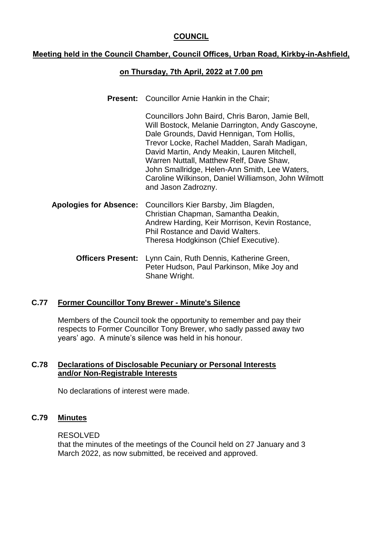# **COUNCIL**

# **Meeting held in the Council Chamber, Council Offices, Urban Road, Kirkby-in-Ashfield,**

# **on Thursday, 7th April, 2022 at 7.00 pm**

**Present:** Councillor Arnie Hankin in the Chair;

Councillors John Baird, Chris Baron, Jamie Bell, Will Bostock, Melanie Darrington, Andy Gascoyne, Dale Grounds, David Hennigan, Tom Hollis, Trevor Locke, Rachel Madden, Sarah Madigan, David Martin, Andy Meakin, Lauren Mitchell, Warren Nuttall, Matthew Relf, Dave Shaw, John Smallridge, Helen-Ann Smith, Lee Waters, Caroline Wilkinson, Daniel Williamson, John Wilmott and Jason Zadrozny.

- **Apologies for Absence:** Councillors Kier Barsby, Jim Blagden, Christian Chapman, Samantha Deakin, Andrew Harding, Keir Morrison, Kevin Rostance, Phil Rostance and David Walters. Theresa Hodgkinson (Chief Executive).
	- **Officers Present:** Lynn Cain, Ruth Dennis, Katherine Green, Peter Hudson, Paul Parkinson, Mike Joy and Shane Wright.

## **C.77 Former Councillor Tony Brewer - Minute's Silence**

Members of the Council took the opportunity to remember and pay their respects to Former Councillor Tony Brewer, who sadly passed away two years' ago. A minute's silence was held in his honour.

# **C.78 Declarations of Disclosable Pecuniary or Personal Interests and/or Non-Registrable Interests**

No declarations of interest were made.

## **C.79 Minutes**

#### RESOLVED

that the minutes of the meetings of the Council held on 27 January and 3 March 2022, as now submitted, be received and approved.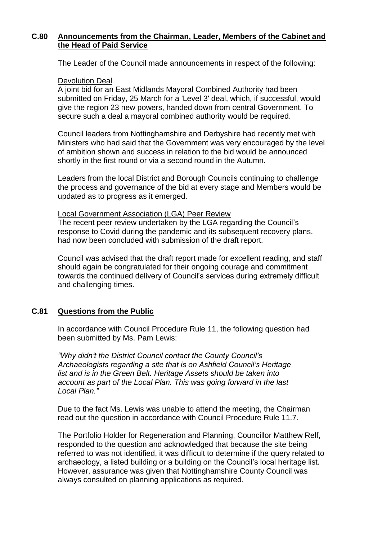# **C.80 Announcements from the Chairman, Leader, Members of the Cabinet and the Head of Paid Service**

The Leader of the Council made announcements in respect of the following:

#### Devolution Deal

A joint bid for an East Midlands Mayoral Combined Authority had been submitted on Friday, 25 March for a 'Level 3' deal, which, if successful, would give the region 23 new powers, handed down from central Government. To secure such a deal a mayoral combined authority would be required.

Council leaders from Nottinghamshire and Derbyshire had recently met with Ministers who had said that the Government was very encouraged by the level of ambition shown and success in relation to the bid would be announced shortly in the first round or via a second round in the Autumn.

Leaders from the local District and Borough Councils continuing to challenge the process and governance of the bid at every stage and Members would be updated as to progress as it emerged.

### Local Government Association (LGA) Peer Review

The recent peer review undertaken by the LGA regarding the Council's response to Covid during the pandemic and its subsequent recovery plans, had now been concluded with submission of the draft report.

Council was advised that the draft report made for excellent reading, and staff should again be congratulated for their ongoing courage and commitment towards the continued delivery of Council's services during extremely difficult and challenging times.

# **C.81 Questions from the Public**

In accordance with Council Procedure Rule 11, the following question had been submitted by Ms. Pam Lewis:

*"Why didn't the District Council contact the County Council's Archaeologists regarding a site that is on Ashfield Council's Heritage list and is in the Green Belt. Heritage Assets should be taken into account as part of the Local Plan. This was going forward in the last Local Plan."*

Due to the fact Ms. Lewis was unable to attend the meeting, the Chairman read out the question in accordance with Council Procedure Rule 11.7.

The Portfolio Holder for Regeneration and Planning, Councillor Matthew Relf, responded to the question and acknowledged that because the site being referred to was not identified, it was difficult to determine if the query related to archaeology, a listed building or a building on the Council's local heritage list. However, assurance was given that Nottinghamshire County Council was always consulted on planning applications as required.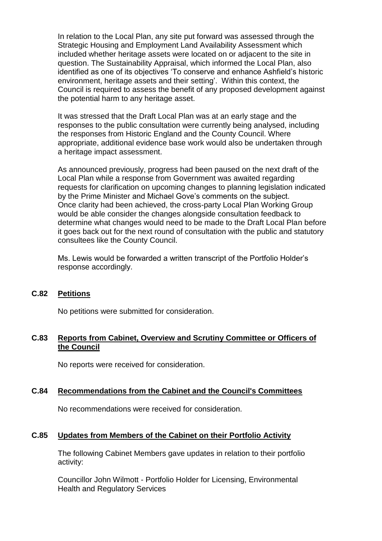In relation to the Local Plan, any site put forward was assessed through the Strategic Housing and Employment Land Availability Assessment which included whether heritage assets were located on or adjacent to the site in question. The Sustainability Appraisal, which informed the Local Plan, also identified as one of its objectives 'To conserve and enhance Ashfield's historic environment, heritage assets and their setting'. Within this context, the Council is required to assess the benefit of any proposed development against the potential harm to any heritage asset.

It was stressed that the Draft Local Plan was at an early stage and the responses to the public consultation were currently being analysed, including the responses from Historic England and the County Council. Where appropriate, additional evidence base work would also be undertaken through a heritage impact assessment.

As announced previously, progress had been paused on the next draft of the Local Plan while a response from Government was awaited regarding requests for clarification on upcoming changes to planning legislation indicated by the Prime Minister and Michael Gove's comments on the subject. Once clarity had been achieved, the cross-party Local Plan Working Group would be able consider the changes alongside consultation feedback to determine what changes would need to be made to the Draft Local Plan before it goes back out for the next round of consultation with the public and statutory consultees like the County Council.

Ms. Lewis would be forwarded a written transcript of the Portfolio Holder's response accordingly.

# **C.82 Petitions**

No petitions were submitted for consideration.

### **C.83 Reports from Cabinet, Overview and Scrutiny Committee or Officers of the Council**

No reports were received for consideration.

## **C.84 Recommendations from the Cabinet and the Council's Committees**

No recommendations were received for consideration.

## **C.85 Updates from Members of the Cabinet on their Portfolio Activity**

The following Cabinet Members gave updates in relation to their portfolio activity:

Councillor John Wilmott - Portfolio Holder for Licensing, Environmental Health and Regulatory Services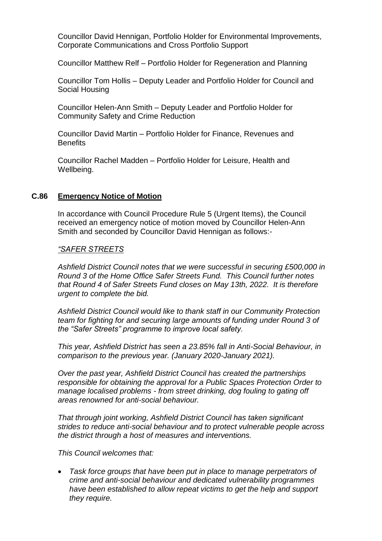Councillor David Hennigan, Portfolio Holder for Environmental Improvements, Corporate Communications and Cross Portfolio Support

Councillor Matthew Relf – Portfolio Holder for Regeneration and Planning

Councillor Tom Hollis – Deputy Leader and Portfolio Holder for Council and Social Housing

Councillor Helen-Ann Smith – Deputy Leader and Portfolio Holder for Community Safety and Crime Reduction

Councillor David Martin – Portfolio Holder for Finance, Revenues and Benefits

Councillor Rachel Madden – Portfolio Holder for Leisure, Health and Wellbeing.

# **C.86 Emergency Notice of Motion**

In accordance with Council Procedure Rule 5 (Urgent Items), the Council received an emergency notice of motion moved by Councillor Helen-Ann Smith and seconded by Councillor David Hennigan as follows:-

### *"SAFER STREETS*

*Ashfield District Council notes that we were successful in securing £500,000 in Round 3 of the Home Office Safer Streets Fund. This Council further notes that Round 4 of Safer Streets Fund closes on May 13th, 2022. It is therefore urgent to complete the bid.*

*Ashfield District Council would like to thank staff in our Community Protection team for fighting for and securing large amounts of funding under Round 3 of the "Safer Streets" programme to improve local safety.*

*This year, Ashfield District has seen a 23.85% fall in Anti-Social Behaviour, in comparison to the previous year. (January 2020-January 2021).*

*Over the past year, Ashfield District Council has created the partnerships responsible for obtaining the approval for a Public Spaces Protection Order to manage localised problems - from street drinking, dog fouling to gating off areas renowned for anti-social behaviour.* 

*That through joint working, Ashfield District Council has taken significant strides to reduce anti-social behaviour and to protect vulnerable people across the district through a host of measures and interventions.*

*This Council welcomes that:*

 *Task force groups that have been put in place to manage perpetrators of crime and anti-social behaviour and dedicated vulnerability programmes have been established to allow repeat victims to get the help and support they require.*